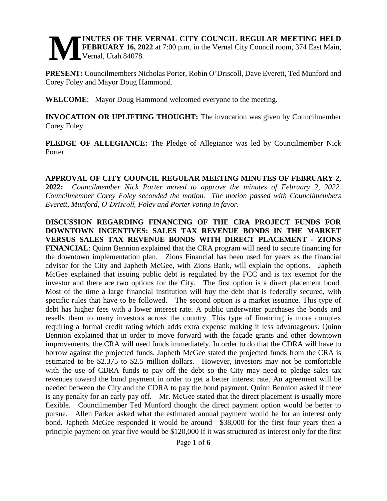### **INUTES OF THE VERNAL CITY COUNCIL REGULAR MEETING HELD FEBRUARY 16, 2022** at 7:00 p.m. in the Vernal City Council room, 374 East Main, Vernal, Utah 84078. **M**

**PRESENT:** Councilmembers Nicholas Porter, Robin O'Driscoll, Dave Everett, Ted Munford and Corey Foley and Mayor Doug Hammond.

**WELCOME**: Mayor Doug Hammond welcomed everyone to the meeting.

**INVOCATION OR UPLIFTING THOUGHT:** The invocation was given by Councilmember Corey Foley.

**PLEDGE OF ALLEGIANCE:** The Pledge of Allegiance was led by Councilmember Nick Porter.

**APPROVAL OF CITY COUNCIL REGULAR MEETING MINUTES OF FEBRUARY 2, 2022:** *Councilmember Nick Porter moved to approve the minutes of February 2, 2022. Councilmember Corey Foley seconded the motion. The motion passed with Councilmembers Everett, Munford, O'Driscoll, Foley and Porter voting in favor.* 

**DISCUSSION REGARDING FINANCING OF THE CRA PROJECT FUNDS FOR DOWNTOWN INCENTIVES: SALES TAX REVENUE BONDS IN THE MARKET VERSUS SALES TAX REVENUE BONDS WITH DIRECT PLACEMENT - ZIONS FINANCIAL**: Quinn Bennion explained that the CRA program will need to secure financing for the downtown implementation plan. Zions Financial has been used for years as the financial advisor for the City and Japheth McGee, with Zions Bank, will explain the options. Japheth McGee explained that issuing public debt is regulated by the FCC and is tax exempt for the investor and there are two options for the City. The first option is a direct placement bond. Most of the time a large financial institution will buy the debt that is federally secured, with specific rules that have to be followed. The second option is a market issuance. This type of debt has higher fees with a lower interest rate. A public underwriter purchases the bonds and resells them to many investors across the country. This type of financing is more complex requiring a formal credit rating which adds extra expense making it less advantageous. Quinn Bennion explained that in order to move forward with the façade grants and other downtown improvements, the CRA will need funds immediately. In order to do that the CDRA will have to borrow against the projected funds. Japheth McGee stated the projected funds from the CRA is estimated to be \$2.375 to \$2.5 million dollars. However, investors may not be comfortable with the use of CDRA funds to pay off the debt so the City may need to pledge sales tax revenues toward the bond payment in order to get a better interest rate. An agreement will be needed between the City and the CDRA to pay the bond payment. Quinn Bennion asked if there is any penalty for an early pay off. Mr. McGee stated that the direct placement is usually more flexible. Councilmember Ted Munford thought the direct payment option would be better to pursue. Allen Parker asked what the estimated annual payment would be for an interest only bond. Japheth McGee responded it would be around \$38,000 for the first four years then a principle payment on year five would be \$120,000 if it was structured as interest only for the first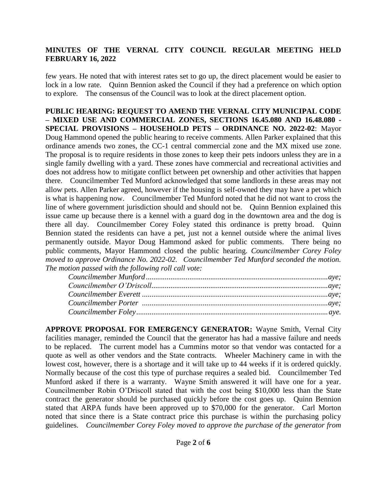few years. He noted that with interest rates set to go up, the direct placement would be easier to lock in a low rate. Quinn Bennion asked the Council if they had a preference on which option to explore. The consensus of the Council was to look at the direct placement option.

**PUBLIC HEARING: REQUEST TO AMEND THE VERNAL CITY MUNICIPAL CODE – MIXED USE AND COMMERCIAL ZONES, SECTIONS 16.45.080 AND 16.48.080 - SPECIAL PROVISIONS – HOUSEHOLD PETS – ORDINANCE NO. 2022-02**: Mayor Doug Hammond opened the public hearing to receive comments. Allen Parker explained that this ordinance amends two zones, the CC-1 central commercial zone and the MX mixed use zone. The proposal is to require residents in those zones to keep their pets indoors unless they are in a single family dwelling with a yard. These zones have commercial and recreational activities and does not address how to mitigate conflict between pet ownership and other activities that happen there. Councilmember Ted Munford acknowledged that some landlords in these areas may not allow pets. Allen Parker agreed, however if the housing is self-owned they may have a pet which is what is happening now. Councilmember Ted Munford noted that he did not want to cross the line of where government jurisdiction should and should not be. Quinn Bennion explained this issue came up because there is a kennel with a guard dog in the downtown area and the dog is there all day. Councilmember Corey Foley stated this ordinance is pretty broad. Quinn Bennion stated the residents can have a pet, just not a kennel outside where the animal lives permanently outside. Mayor Doug Hammond asked for public comments. There being no public comments, Mayor Hammond closed the public hearing. *Councilmember Corey Foley moved to approve Ordinance No. 2022-02. Councilmember Ted Munford seconded the motion. The motion passed with the following roll call vote:* 

**APPROVE PROPOSAL FOR EMERGENCY GENERATOR:** Wayne Smith, Vernal City facilities manager, reminded the Council that the generator has had a massive failure and needs to be replaced. The current model has a Cummins motor so that vendor was contacted for a quote as well as other vendors and the State contracts. Wheeler Machinery came in with the lowest cost, however, there is a shortage and it will take up to 44 weeks if it is ordered quickly. Normally because of the cost this type of purchase requires a sealed bid. Councilmember Ted Munford asked if there is a warranty. Wayne Smith answered it will have one for a year. Councilmember Robin O'Driscoll stated that with the cost being \$10,000 less than the State contract the generator should be purchased quickly before the cost goes up. Quinn Bennion stated that ARPA funds have been approved up to \$70,000 for the generator. Carl Morton noted that since there is a State contract price this purchase is within the purchasing policy guidelines. *Councilmember Corey Foley moved to approve the purchase of the generator from*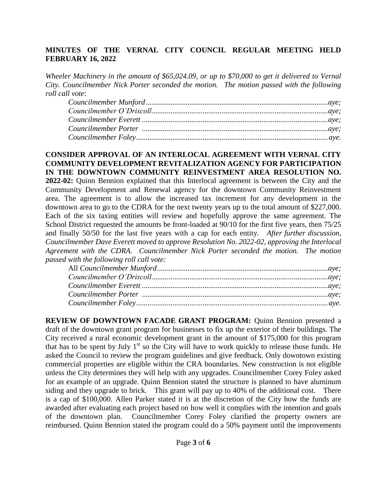*Wheeler Machinery in the amount of \$65,024.09, or up to \$70,000 to get it delivered to Vernal City. Councilmember Nick Porter seconded the motion. The motion passed with the following roll call vote*:

**CONSIDER APPROVAL OF AN INTERLOCAL AGREEMENT WITH VERNAL CITY COMMUNITY DEVELOPMENT REVITALIZATION AGENCY FOR PARTICIPATION IN THE DOWNTOWN COMMUNITY REINVESTMENT AREA RESOLUTION NO. 2022-02:** Quinn Bennion explained that this Interlocal agreement is between the City and the Community Development and Renewal agency for the downtown Community Reinvestment area. The agreement is to allow the increased tax increment for any development in the downtown area to go to the CDRA for the next twenty years up to the total amount of \$227,000. Each of the six taxing entities will review and hopefully approve the same agreement. The School District requested the amounts be front-loaded at 90/10 for the first five years, then 75/25 and finally 50/50 for the last five years with a cap for each entity. *After further discussion, Councilmember Dave Everett moved to approve Resolution No. 2022-02, approving the Interlocal Agreement with the CDRA. Councilmember Nick Porter seconded the motion. The motion passed with the following roll call vote:* 

**REVIEW OF DOWNTOWN FACADE GRANT PROGRAM:** Quinn Bennion presented a draft of the downtown grant program for businesses to fix up the exterior of their buildings. The City received a rural economic development grant in the amount of \$175,000 for this program that has to be spent by July  $1<sup>st</sup>$  so the City will have to work quickly to release those funds. He asked the Council to review the program guidelines and give feedback. Only downtown existing commercial properties are eligible within the CRA boundaries. New construction is not eligible unless the City determines they will help with any upgrades. Councilmember Corey Foley asked for an example of an upgrade. Quinn Bennion stated the structure is planned to have aluminum siding and they upgrade to brick. This grant will pay up to 40% of the additional cost. There is a cap of \$100,000. Allen Parker stated it is at the discretion of the City how the funds are awarded after evaluating each project based on how well it complies with the intention and goals of the downtown plan. Councilmember Corey Foley clarified the property owners are reimbursed. Quinn Bennion stated the program could do a 50% payment until the improvements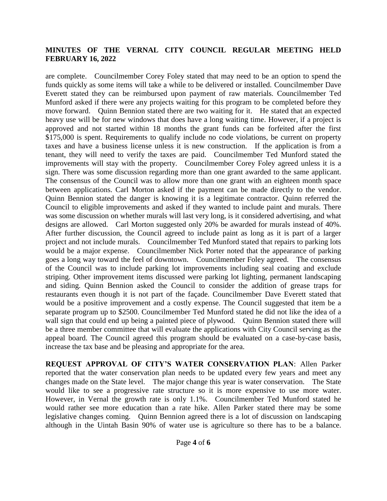are complete. Councilmember Corey Foley stated that may need to be an option to spend the funds quickly as some items will take a while to be delivered or installed. Councilmember Dave Everett stated they can be reimbursed upon payment of raw materials. Councilmember Ted Munford asked if there were any projects waiting for this program to be completed before they move forward. Quinn Bennion stated there are two waiting for it. He stated that an expected heavy use will be for new windows that does have a long waiting time. However, if a project is approved and not started within 18 months the grant funds can be forfeited after the first \$175,000 is spent. Requirements to qualify include no code violations, be current on property taxes and have a business license unless it is new construction. If the application is from a tenant, they will need to verify the taxes are paid. Councilmember Ted Munford stated the improvements will stay with the property. Councilmember Corey Foley agreed unless it is a sign. There was some discussion regarding more than one grant awarded to the same applicant. The consensus of the Council was to allow more than one grant with an eighteen month space between applications. Carl Morton asked if the payment can be made directly to the vendor. Quinn Bennion stated the danger is knowing it is a legitimate contractor. Quinn referred the Council to eligible improvements and asked if they wanted to include paint and murals. There was some discussion on whether murals will last very long, is it considered advertising, and what designs are allowed. Carl Morton suggested only 20% be awarded for murals instead of 40%. After further discussion, the Council agreed to include paint as long as it is part of a larger project and not include murals. Councilmember Ted Munford stated that repairs to parking lots would be a major expense. Councilmember Nick Porter noted that the appearance of parking goes a long way toward the feel of downtown. Councilmember Foley agreed. The consensus of the Council was to include parking lot improvements including seal coating and exclude striping. Other improvement items discussed were parking lot lighting, permanent landscaping and siding. Quinn Bennion asked the Council to consider the addition of grease traps for restaurants even though it is not part of the façade. Councilmember Dave Everett stated that would be a positive improvement and a costly expense. The Council suggested that item be a separate program up to \$2500. Councilmember Ted Munford stated he did not like the idea of a wall sign that could end up being a painted piece of plywood. Quinn Bennion stated there will be a three member committee that will evaluate the applications with City Council serving as the appeal board. The Council agreed this program should be evaluated on a case-by-case basis, increase the tax base and be pleasing and appropriate for the area.

**REQUEST APPROVAL OF CITY'S WATER CONSERVATION PLAN**: Allen Parker reported that the water conservation plan needs to be updated every few years and meet any changes made on the State level. The major change this year is water conservation. The State would like to see a progressive rate structure so it is more expensive to use more water. However, in Vernal the growth rate is only 1.1%. Councilmember Ted Munford stated he would rather see more education than a rate hike. Allen Parker stated there may be some legislative changes coming. Quinn Bennion agreed there is a lot of discussion on landscaping although in the Uintah Basin 90% of water use is agriculture so there has to be a balance.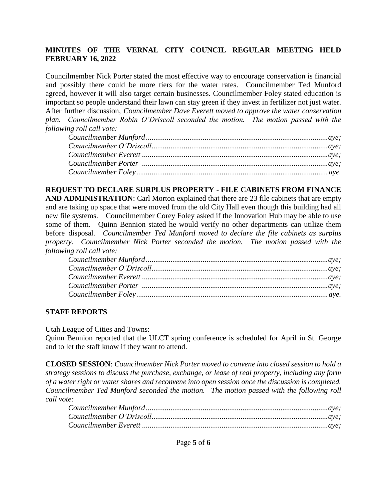Councilmember Nick Porter stated the most effective way to encourage conservation is financial and possibly there could be more tiers for the water rates. Councilmember Ted Munford agreed, however it will also target certain businesses. Councilmember Foley stated education is important so people understand their lawn can stay green if they invest in fertilizer not just water. After further discussion, *Councilmember Dave Everett moved to approve the water conservation plan. Councilmember Robin O'Driscoll seconded the motion. The motion passed with the following roll call vote:* 

**REQUEST TO DECLARE SURPLUS PROPERTY - FILE CABINETS FROM FINANCE AND ADMINISTRATION**: Carl Morton explained that there are 23 file cabinets that are empty and are taking up space that were moved from the old City Hall even though this building had all new file systems. Councilmember Corey Foley asked if the Innovation Hub may be able to use some of them. Quinn Bennion stated he would verify no other departments can utilize them before disposal. *Councilmember Ted Munford moved to declare the file cabinets as surplus property. Councilmember Nick Porter seconded the motion. The motion passed with the following roll call vote:* 

### **STAFF REPORTS**

Utah League of Cities and Towns:

Quinn Bennion reported that the ULCT spring conference is scheduled for April in St. George and to let the staff know if they want to attend.

**CLOSED SESSION**: *Councilmember Nick Porter moved to convene into closed session to hold a strategy sessions to discuss the purchase, exchange, or lease of real property, including any form of a water right or water shares and reconvene into open session once the discussion is completed. Councilmember Ted Munford seconded the motion. The motion passed with the following roll call vote:*